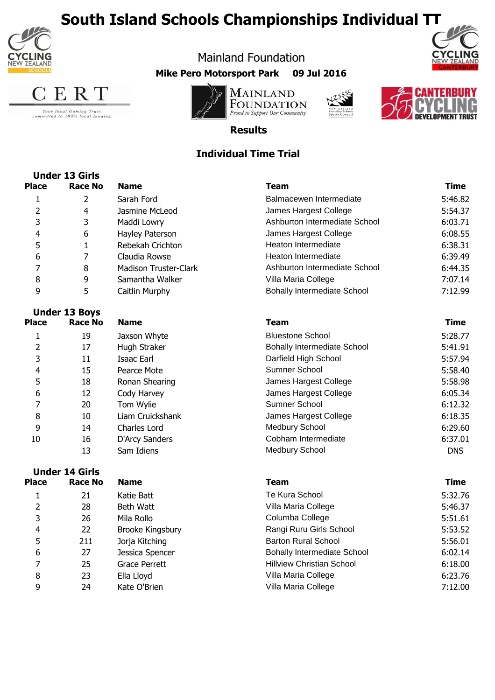





Your local Gaming Trust<br>committed to 100% local funding









**Results**

Mainland Foundation **Mike Pero Motorsport Park 09 Jul 2016**

# **Individual Time Trial**

|              | <b>Under 13 Girls</b> |                              |                                    |             |
|--------------|-----------------------|------------------------------|------------------------------------|-------------|
| <b>Place</b> | <b>Race No</b>        | <b>Name</b>                  | <b>Team</b>                        | <b>Time</b> |
| $\mathbf 1$  | 2                     | Sarah Ford                   | Balmacewen Intermediate            | 5:46.82     |
| 2            | 4                     | Jasmine McLeod               | James Hargest College              | 5:54.37     |
| 3            | 3                     | Maddi Lowry                  | Ashburton Intermediate School      | 6:03.71     |
| 4            | 6                     | Hayley Paterson              | James Hargest College              | 6:08.55     |
| 5            | 1                     | Rebekah Crichton             | Heaton Intermediate                | 6:38.31     |
| 6            | 7                     | Claudia Rowse                | Heaton Intermediate                | 6:39.49     |
| 7            | 8                     | <b>Madison Truster-Clark</b> | Ashburton Intermediate School      | 6:44.35     |
| 8            | 9                     | Samantha Walker              | Villa Maria College                | 7:07.14     |
| 9            | 5                     | Caitlin Murphy               | <b>Bohally Intermediate School</b> | 7:12.99     |
|              | <b>Under 13 Boys</b>  |                              |                                    |             |
| <b>Place</b> | Race No               | <b>Name</b>                  | <b>Team</b>                        | <b>Time</b> |
| 1            | 19                    | Jaxson Whyte                 | <b>Bluestone School</b>            | 5:28.77     |
| 2            | 17                    | Hugh Straker                 | <b>Bohally Intermediate School</b> | 5:41.91     |
| 3            | 11                    | Isaac Earl                   | Darfield High School               | 5:57.94     |
| 4            | 15                    | Pearce Mote                  | Sumner School                      | 5:58.40     |
| 5            | 18                    | Ronan Shearing               | James Hargest College              | 5:58.98     |
| 6            | 12                    | Cody Harvey                  | James Hargest College              | 6:05.34     |
| 7            | 20                    | Tom Wylie                    | Sumner School                      | 6:12.32     |
| 8            | 10                    | Liam Cruickshank             | James Hargest College              | 6:18.35     |
| 9            | 14                    | Charles Lord                 | <b>Medbury School</b>              | 6:29.60     |
| 10           | 16                    | D'Arcy Sanders               | Cobham Intermediate                | 6:37.01     |
|              | 13                    | Sam Idiens                   | <b>Medbury School</b>              | <b>DNS</b>  |

**Race No Team Place Name** 21 28 26 22 211 27 25 23 24 6 10.14 and 27 and 3 Jessica Spencer and 5:02.14 bohally Intermediate School 6:02.14 8 23 Ella Lloyd Villa Maria College 6:23.76 4 22 Brooke Kingsbury Rangi Ruru Girls School 5:53.52 5 1556.01 Jorja Kitching Chronic Barton Rural School 5:56.01 2 a Beth Watt Villa Maria College 5:46.37 3 26 Mila Rollo 20 Columba College 5:51.61 9 Kate O'Brien Villa Maria College 7:12.00 1 21 Katie Batt Te Kura School 5:32.76 **Under 14 Girls** 7 and 25 Grace Perrett **Fillyiew Christian School** 6:18.00 **Time**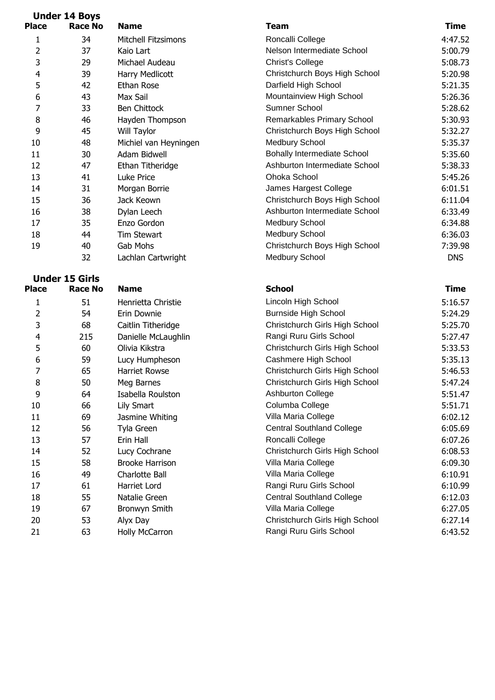| <b>Place</b> | <b>Under 14 Boys</b><br><b>Race No</b> | <b>Name</b>                | <b>Team</b>                        | <b>Time</b> |
|--------------|----------------------------------------|----------------------------|------------------------------------|-------------|
| 1            | 34                                     | <b>Mitchell Fitzsimons</b> | Roncalli College                   | 4:47.52     |
| 2            | 37                                     | Kaio Lart                  | Nelson Intermediate School         | 5:00.79     |
| 3            | 29                                     | Michael Audeau             | <b>Christ's College</b>            | 5:08.73     |
| 4            | 39                                     | Harry Medlicott            | Christchurch Boys High School      | 5:20.98     |
| 5            | 42                                     | Ethan Rose                 | Darfield High School               | 5:21.35     |
| 6            | 43                                     | Max Sail                   | Mountainview High School           | 5:26.36     |
| 7            | 33                                     | Ben Chittock               | Sumner School                      | 5:28.62     |
| 8            | 46                                     | Hayden Thompson            | Remarkables Primary School         | 5:30.93     |
| 9            | 45                                     | Will Taylor                | Christchurch Boys High School      | 5:32.27     |
| 10           | 48                                     | Michiel van Heyningen      | Medbury School                     | 5:35.37     |
| 11           | 30                                     | Adam Bidwell               | <b>Bohally Intermediate School</b> | 5:35.60     |
| 12           | 47                                     | Ethan Titheridge           | Ashburton Intermediate School      | 5:38.33     |
| 13           | 41                                     | Luke Price                 | Ohoka School                       | 5:45.26     |
| 14           | 31                                     | Morgan Borrie              | James Hargest College              | 6:01.51     |
| 15           | 36                                     | Jack Keown                 | Christchurch Boys High School      | 6:11.04     |
| 16           | 38                                     | Dylan Leech                | Ashburton Intermediate School      | 6:33.49     |
| 17           | 35                                     | Enzo Gordon                | Medbury School                     | 6:34.88     |
| 18           | 44                                     | <b>Tim Stewart</b>         | Medbury School                     | 6:36.03     |
| 19           | 40                                     | Gab Mohs                   | Christchurch Boys High School      | 7:39.98     |
|              | 32                                     | Lachlan Cartwright         | Medbury School                     | <b>DNS</b>  |
|              | <b>Under 15 Girls</b>                  |                            |                                    |             |
| <b>Place</b> | <b>Race No</b>                         | <b>Name</b>                | <b>School</b>                      | <b>Time</b> |
| 1            | 51                                     | Henrietta Christie         | Lincoln High School                | 5:16.57     |
| 2            | 54                                     | Erin Downie                | Burnside High School               | 5:24.29     |
| 3            | 68                                     | Caitlin Titheridge         | Christchurch Girls High School     | 5:25.70     |
| 4            | 215                                    | Danielle McLaughlin        | Rangi Ruru Girls School            | 5:27.47     |
| 5            | 60                                     | Olivia Kikstra             | Christchurch Girls High School     | 5:33.53     |
| 6            | 59                                     | Lucy Humpheson             | Cashmere High School               | 5:35.13     |
| 7            | 65                                     | <b>Harriet Rowse</b>       | Christchurch Girls High School     | 5:46.53     |
| 8            | 50                                     | Meg Barnes                 | Christchurch Girls High School     | 5:47.24     |
| 9            | 64                                     | Isabella Roulston          | <b>Ashburton College</b>           | 5:51.47     |
| 10           | 66                                     | Lily Smart                 | Columba College                    | 5:51.71     |
| 11           | 69                                     | Jasmine Whiting            | Villa Maria College                | 6:02.12     |
| 12           | 56                                     | Tyla Green                 | <b>Central Southland College</b>   | 6:05.69     |
| 13           | 57                                     | Erin Hall                  | Roncalli College                   | 6:07.26     |
| 14           | 52                                     | Lucy Cochrane              | Christchurch Girls High School     | 6:08.53     |
| 15           | 58                                     | <b>Brooke Harrison</b>     | Villa Maria College                | 6:09.30     |
| 16           | 49                                     | Charlotte Ball             | Villa Maria College                | 6:10.91     |
| 17           | 61                                     | Harriet Lord               | Rangi Ruru Girls School            | 6:10.99     |
| 18           | 55                                     | Natalie Green              | <b>Central Southland College</b>   | 6:12.03     |
| 19           | 67                                     | Bronwyn Smith              | Villa Maria College                | 6:27.05     |
| 20           | 53                                     | Alyx Day                   | Christchurch Girls High School     | 6:27.14     |
| 21           | 63                                     | Holly McCarron             | Rangi Ruru Girls School            | 6.4352      |

| н<br>. .<br>×<br>۰. |
|---------------------|
|                     |

| Геаm                              | Time       |
|-----------------------------------|------------|
| Roncalli College                  | 4:47.52    |
| <b>Nelson Intermediate School</b> | 5:00.79    |
| Christ's College                  | 5:08.73    |
| Christchurch Boys High School     | 5:20.98    |
| Darfield High School              | 5:21.35    |
| Mountainview High School          | 5:26.36    |
| Sumner School                     | 5:28.62    |
| Remarkables Primary School        | 5:30.93    |
| Christchurch Boys High School     | 5:32.27    |
| Medbury School                    | 5:35.37    |
| Bohally Intermediate School       | 5:35.60    |
| Ashburton Intermediate School     | 5:38.33    |
| <b>Dhoka School</b>               | 5:45.26    |
| James Hargest College             | 6:01.51    |
| Christchurch Boys High School     | 6:11.04    |
| Ashburton Intermediate School     | 6:33.49    |
| Medbury School                    | 6:34.88    |
| Medbury School                    | 6:36.03    |
| Christchurch Boys High School     | 7:39.98    |
| Medbury School                    | <b>DNS</b> |

| lace           | <b>Race No</b> | <b>Name</b>            | <b>School</b>                    | Time    |
|----------------|----------------|------------------------|----------------------------------|---------|
| 1              | 51             | Henrietta Christie     | Lincoln High School              | 5:16.57 |
| $\overline{2}$ | 54             | Erin Downie            | <b>Burnside High School</b>      | 5:24.29 |
| 3              | 68             | Caitlin Titheridge     | Christchurch Girls High School   | 5:25.70 |
| 4              | 215            | Danielle McLaughlin    | Rangi Ruru Girls School          | 5:27.47 |
| 5              | 60             | Olivia Kikstra         | Christchurch Girls High School   | 5:33.53 |
| 6              | 59             | Lucy Humpheson         | Cashmere High School             | 5:35.13 |
|                | 65             | Harriet Rowse          | Christchurch Girls High School   | 5:46.53 |
| 8              | 50             | Meg Barnes             | Christchurch Girls High School   | 5:47.24 |
| 9              | 64             | Isabella Roulston      | <b>Ashburton College</b>         | 5:51.47 |
| 10             | 66             | Lily Smart             | Columba College                  | 5:51.71 |
| 11             | 69             | Jasmine Whiting        | Villa Maria College              | 6:02.12 |
| 12             | 56             | Tyla Green             | <b>Central Southland College</b> | 6:05.69 |
| 13             | 57             | Erin Hall              | Roncalli College                 | 6:07.26 |
| 14             | 52             | Lucy Cochrane          | Christchurch Girls High School   | 6:08.53 |
| 15             | 58             | <b>Brooke Harrison</b> | Villa Maria College              | 6:09.30 |
| 16             | 49             | Charlotte Ball         | Villa Maria College              | 6:10.91 |
| 17             | 61             | Harriet Lord           | Rangi Ruru Girls School          | 6:10.99 |
| 18             | 55             | Natalie Green          | <b>Central Southland College</b> | 6:12.03 |
| 19             | 67             | Bronwyn Smith          | Villa Maria College              | 6:27.05 |
| 20             | 53             | Alyx Day               | Christchurch Girls High School   | 6:27.14 |
| 21             | 63             | <b>Holly McCarron</b>  | Rangi Ruru Girls School          | 6:43.52 |
|                |                |                        |                                  |         |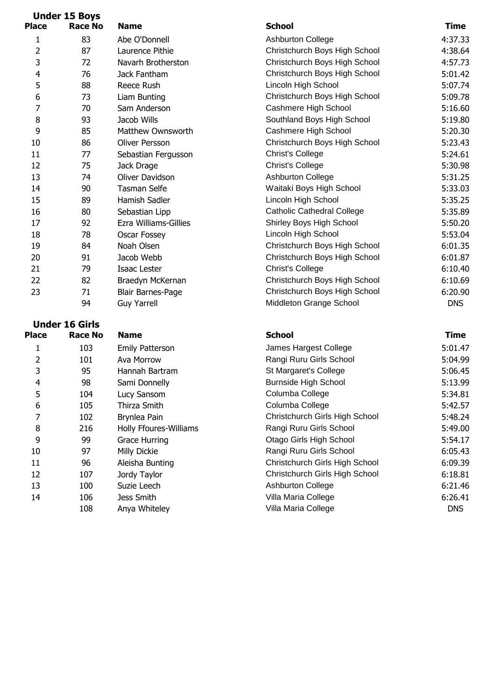|                         | <b>Under 15 Boys</b> |                          |                                   |            |
|-------------------------|----------------------|--------------------------|-----------------------------------|------------|
| <b>Place</b>            | <b>Race No</b>       | <b>Name</b>              | <b>School</b>                     | Time       |
| $\mathbf 1$             | 83                   | Abe O'Donnell            | <b>Ashburton College</b>          | 4:37.33    |
| 2                       | 87                   | Laurence Pithie          | Christchurch Boys High School     | 4:38.64    |
| 3                       | 72                   | Navarh Brotherston       | Christchurch Boys High School     | 4:57.73    |
| $\overline{\mathbf{4}}$ | 76                   | Jack Fantham             | Christchurch Boys High School     | 5:01.42    |
| 5                       | 88                   | Reece Rush               | Lincoln High School               | 5:07.74    |
| 6                       | 73                   | Liam Bunting             | Christchurch Boys High School     | 5:09.78    |
| 7                       | 70                   | Sam Anderson             | Cashmere High School              | 5:16.60    |
| 8                       | 93                   | Jacob Wills              | Southland Boys High School        | 5:19.80    |
| 9                       | 85                   | Matthew Ownsworth        | Cashmere High School              | 5:20.30    |
| 10                      | 86                   | Oliver Persson           | Christchurch Boys High School     | 5:23.43    |
| 11                      | 77                   | Sebastian Fergusson      | Christ's College                  | 5:24.61    |
| 12                      | 75                   | Jack Drage               | Christ's College                  | 5:30.98    |
| 13                      | 74                   | Oliver Davidson          | Ashburton College                 | 5:31.25    |
| 14                      | 90                   | <b>Tasman Selfe</b>      | Waitaki Boys High School          | 5:33.03    |
| 15                      | 89                   | Hamish Sadler            | Lincoln High School               | 5:35.25    |
| 16                      | 80                   | Sebastian Lipp           | <b>Catholic Cathedral College</b> | 5:35.89    |
| 17                      | 92                   | Ezra Williams-Gillies    | Shirley Boys High School          | 5:50.20    |
| 18                      | 78                   | Oscar Fossey             | Lincoln High School               | 5:53.04    |
| 19                      | 84                   | Noah Olsen               | Christchurch Boys High School     | 6:01.35    |
| 20                      | 91                   | Jacob Webb               | Christchurch Boys High School     | 6:01.87    |
| 21                      | 79                   | <b>Isaac Lester</b>      | Christ's College                  | 6:10.40    |
| 22                      | 82                   | Braedyn McKernan         | Christchurch Boys High School     | 6:10.69    |
| 23                      | 71                   | <b>Blair Barnes-Page</b> | Christchurch Boys High School     | 6:20.90    |
|                         | 94                   | <b>Guy Yarrell</b>       | Middleton Grange School           | <b>DNS</b> |
|                         |                      |                          |                                   |            |

### **Under 16 Girls Race No School** 103 101 95 **Place Race No. Name that the School and School and Time** 2 101 Ava Morrow<br>3 95 Hannah Bart Hannah Bartram 1 103 Emily Patterson

| 4  | 98  | Sami Donnelly         |
|----|-----|-----------------------|
| 5  | 104 | Lucy Sansom           |
| 6  | 105 | Thirza Smith          |
| 7  | 102 | Brynlea Pain          |
| 8  | 216 | Holly Ffoures-Willian |
| 9  | 99  | <b>Grace Hurring</b>  |
| 10 | 97  | Milly Dickie          |
| 11 | 96  | Aleisha Bunting       |
| 12 | 107 | Jordy Taylor          |
| 13 | 100 | Suzie Leech           |
| 14 | 106 | Jess Smith            |
|    | 108 | Anya Whiteley         |
|    |     |                       |

| ıce | <b>RACE NO</b> | name                     | SCNOOI                            | rime.      |
|-----|----------------|--------------------------|-----------------------------------|------------|
| 1   | 83             | Abe O'Donnell            | <b>Ashburton College</b>          | 4:37.33    |
| 2   | 87             | Laurence Pithie          | Christchurch Boys High School     | 4:38.64    |
| 3   | 72             | Navarh Brotherston       | Christchurch Boys High School     | 4:57.73    |
| 4   | 76             | Jack Fantham             | Christchurch Boys High School     | 5:01.42    |
| 5   | 88             | Reece Rush               | Lincoln High School               | 5:07.74    |
| 6   | 73             | Liam Bunting             | Christchurch Boys High School     | 5:09.78    |
| 7   | 70             | Sam Anderson             | Cashmere High School              | 5:16.60    |
| 8   | 93             | Jacob Wills              | Southland Boys High School        | 5:19.80    |
| 9   | 85             | Matthew Ownsworth        | Cashmere High School              | 5:20.30    |
| 0   | 86             | Oliver Persson           | Christchurch Boys High School     | 5:23.43    |
| 1   | 77             | Sebastian Fergusson      | Christ's College                  | 5:24.61    |
| 2   | 75             | Jack Drage               | Christ's College                  | 5:30.98    |
| 3   | 74             | Oliver Davidson          | Ashburton College                 | 5:31.25    |
| 4   | 90             | Tasman Selfe             | Waitaki Boys High School          | 5:33.03    |
| 5   | 89             | Hamish Sadler            | Lincoln High School               | 5:35.25    |
| 6   | 80             | Sebastian Lipp           | <b>Catholic Cathedral College</b> | 5:35.89    |
| 7   | 92             | Ezra Williams-Gillies    | Shirley Boys High School          | 5:50.20    |
| 8   | 78             | Oscar Fossey             | Lincoln High School               | 5:53.04    |
| 9   | 84             | Noah Olsen               | Christchurch Boys High School     | 6:01.35    |
| 0   | 91             | Jacob Webb               | Christchurch Boys High School     | 6:01.87    |
| 1   | 79             | Isaac Lester             | Christ's College                  | 6:10.40    |
| 2   | 82             | Braedyn McKernan         | Christchurch Boys High School     | 6:10.69    |
| 3   | 71             | <b>Blair Barnes-Page</b> | Christchurch Boys High School     | 6:20.90    |
|     | 94             | <b>Guy Yarrell</b>       | Middleton Grange School           | <b>DNS</b> |
|     |                |                          |                                   |            |

| 1  | 103 | <b>Emily Patterson</b> | James Hargest College                 | 5:01.47    |
|----|-----|------------------------|---------------------------------------|------------|
| 2  | 101 | Ava Morrow             | Rangi Ruru Girls School               | 5:04.99    |
| 3  | 95  | Hannah Bartram         | St Margaret's College                 | 5:06.45    |
| 4  | 98  | Sami Donnelly          | <b>Burnside High School</b>           | 5:13.99    |
| 5  | 104 | Lucy Sansom            | Columba College                       | 5:34.81    |
| 6  | 105 | Thirza Smith           | Columba College                       | 5:42.57    |
|    | 102 | Brynlea Pain           | <b>Christchurch Girls High School</b> | 5:48.24    |
| 8  | 216 | Holly Ffoures-Williams | Rangi Ruru Girls School               | 5:49.00    |
| 9  | 99  | <b>Grace Hurring</b>   | Otago Girls High School               | 5:54.17    |
| 10 | 97  | Milly Dickie           | Rangi Ruru Girls School               | 6:05.43    |
| 11 | 96  | Aleisha Bunting        | Christchurch Girls High School        | 6:09.39    |
| 12 | 107 | Jordy Taylor           | Christchurch Girls High School        | 6:18.81    |
| 13 | 100 | Suzie Leech            | <b>Ashburton College</b>              | 6:21.46    |
| 14 | 106 | Jess Smith             | Villa Maria College                   | 6:26.41    |
|    | 108 | Anya Whiteley          | Villa Maria College                   | <b>DNS</b> |
|    |     |                        |                                       |            |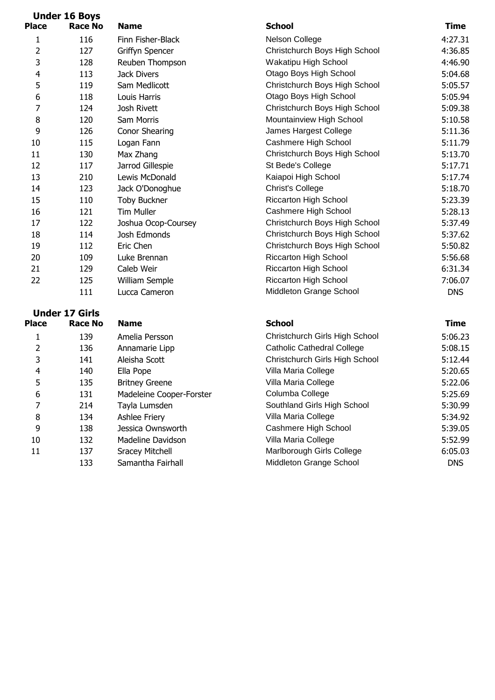|                | <b>Under 16 Boys</b> |                     |                               |             |
|----------------|----------------------|---------------------|-------------------------------|-------------|
| <b>Place</b>   | <b>Race No</b>       | <b>Name</b>         | <b>School</b>                 | <b>Time</b> |
| 1              | 116                  | Finn Fisher-Black   | Nelson College                | 4:27.3      |
| $\overline{2}$ | 127                  | Griffyn Spencer     | Christchurch Boys High School | 4:36.8      |
| 3              | 128                  | Reuben Thompson     | Wakatipu High School          | 4:46.9      |
| 4              | 113                  | Jack Divers         | Otago Boys High School        | 5:04.6      |
| 5              | 119                  | Sam Medlicott       | Christchurch Boys High School | 5:05.5      |
| 6              | 118                  | Louis Harris        | Otago Boys High School        | 5:05.9      |
| 7              | 124                  | Josh Rivett         | Christchurch Boys High School | 5:09.3      |
| 8              | 120                  | Sam Morris          | Mountainview High School      | 5:10.5      |
| 9              | 126                  | Conor Shearing      | James Hargest College         | 5:11.3      |
| 10             | 115                  | Logan Fann          | Cashmere High School          | 5:11.7      |
| 11             | 130                  | Max Zhang           | Christchurch Boys High School | 5:13.7      |
| 12             | 117                  | Jarrod Gillespie    | St Bede's College             | 5:17.7      |
| 13             | 210                  | Lewis McDonald      | Kaiapoi High School           | 5:17.7      |
| 14             | 123                  | Jack O'Donoghue     | <b>Christ's College</b>       | 5:18.7      |
| 15             | 110                  | <b>Toby Buckner</b> | <b>Riccarton High School</b>  | 5:23.3      |
| 16             | 121                  | <b>Tim Muller</b>   | Cashmere High School          | 5:28.1      |
| 17             | 122                  | Joshua Ocop-Coursey | Christchurch Boys High School | 5:37.4      |
| 18             | 114                  | Josh Edmonds        | Christchurch Boys High School | 5:37.6      |
| 19             | 112                  | Eric Chen           | Christchurch Boys High School | 5:50.8      |
| 20             | 109                  | Luke Brennan        | <b>Riccarton High School</b>  | 5:56.6      |
| 21             | 129                  | Caleb Weir          | <b>Riccarton High School</b>  | 6:31.3      |
| 22             | 125                  | William Semple      | <b>Riccarton High School</b>  | 7:06.0      |
|                | 111                  | Lucca Cameron       | Middleton Grange School       | <b>DNS</b>  |

# **Under 17 Girls**

| <b>Place</b> | Race No | <b>Name</b>              | <b>School</b>                         | <b>Time</b> |
|--------------|---------|--------------------------|---------------------------------------|-------------|
|              | 139     | Amelia Persson           | Christchurch Girls High School        | 5:06.2      |
|              | 136     | Annamarie Lipp           | <b>Catholic Cathedral College</b>     | 5:08.1      |
| 3            | 141     | Aleisha Scott            | <b>Christchurch Girls High School</b> | 5:12.4      |
| 4            | 140     | Ella Pope                | Villa Maria College                   | 5:20.6      |
| 5            | 135     | <b>Britney Greene</b>    | Villa Maria College                   | 5:22.0      |
| 6            | 131     | Madeleine Cooper-Forster | Columba College                       | 5:25.6      |
|              | 214     | Tayla Lumsden            | Southland Girls High School           | 5:30.9      |
| 8            | 134     | Ashlee Friery            | Villa Maria College                   | 5:34.9      |
| 9            | 138     | Jessica Ownsworth        | Cashmere High School                  | 5:39.0      |
| 10           | 132     | Madeline Davidson        | Villa Maria College                   | 5:52.9      |
| 11           | 137     | <b>Sracey Mitchell</b>   | Marlborough Girls College             | 6:05.0      |
|              | 133     | Samantha Fairhall        | Middleton Grange School               | <b>DNS</b>  |
|              |         |                          |                                       |             |

| ace            | касе ічо | name                | SCNOOL                        | nne.       |
|----------------|----------|---------------------|-------------------------------|------------|
| 1              | 116      | Finn Fisher-Black   | Nelson College                | 4:27.31    |
| $\overline{2}$ | 127      | Griffyn Spencer     | Christchurch Boys High School | 4:36.85    |
| 3              | 128      | Reuben Thompson     | Wakatipu High School          | 4:46.90    |
| 4              | 113      | Jack Divers         | Otago Boys High School        | 5:04.68    |
| 5              | 119      | Sam Medlicott       | Christchurch Boys High School | 5:05.57    |
| 6              | 118      | Louis Harris        | Otago Boys High School        | 5:05.94    |
| 7              | 124      | Josh Rivett         | Christchurch Boys High School | 5:09.38    |
| 8              | 120      | Sam Morris          | Mountainview High School      | 5:10.58    |
| 9              | 126      | Conor Shearing      | James Hargest College         | 5:11.36    |
| 10             | 115      | Logan Fann          | Cashmere High School          | 5:11.79    |
| 11             | 130      | Max Zhang           | Christchurch Boys High School | 5:13.70    |
| 12             | 117      | Jarrod Gillespie    | St Bede's College             | 5:17.71    |
| 13             | 210      | Lewis McDonald      | Kaiapoi High School           | 5:17.74    |
| 14             | 123      | Jack O'Donoghue     | <b>Christ's College</b>       | 5:18.70    |
| 15             | 110      | <b>Toby Buckner</b> | <b>Riccarton High School</b>  | 5:23.39    |
| 16             | 121      | <b>Tim Muller</b>   | Cashmere High School          | 5:28.13    |
| 17             | 122      | Joshua Ocop-Coursey | Christchurch Boys High School | 5:37.49    |
| 18             | 114      | Josh Edmonds        | Christchurch Boys High School | 5:37.62    |
| 19             | 112      | Eric Chen           | Christchurch Boys High School | 5:50.82    |
| 20             | 109      | Luke Brennan        | Riccarton High School         | 5:56.68    |
| 21             | 129      | Caleb Weir          | Riccarton High School         | 6:31.34    |
| 22             | 125      | William Semple      | <b>Riccarton High School</b>  | 7:06.07    |
|                | 111      | Lucca Cameron       | Middleton Grange School       | <b>DNS</b> |
|                |          |                     |                               |            |

## **School**

|                | 139 | Amelia Persson           | Christchurch Girls High School    | 5:06.23    |
|----------------|-----|--------------------------|-----------------------------------|------------|
| 2              | 136 | Annamarie Lipp           | <b>Catholic Cathedral College</b> | 5:08.15    |
| 3              | 141 | Aleisha Scott            | Christchurch Girls High School    | 5:12.44    |
| $\overline{4}$ | 140 | Ella Pope                | Villa Maria College               | 5:20.65    |
| 5              | 135 | <b>Britney Greene</b>    | Villa Maria College               | 5:22.06    |
| 6              | 131 | Madeleine Cooper-Forster | Columba College                   | 5:25.69    |
|                | 214 | Tayla Lumsden            | Southland Girls High School       | 5:30.99    |
| 8              | 134 | Ashlee Friery            | Villa Maria College               | 5:34.92    |
| 9              | 138 | Jessica Ownsworth        | Cashmere High School              | 5:39.05    |
| 10             | 132 | Madeline Davidson        | Villa Maria College               | 5:52.99    |
| 11             | 137 | <b>Sracey Mitchell</b>   | Marlborough Girls College         | 6:05.03    |
|                | 133 | Samantha Fairhall        | Middleton Grange School           | <b>DNS</b> |
|                |     |                          |                                   |            |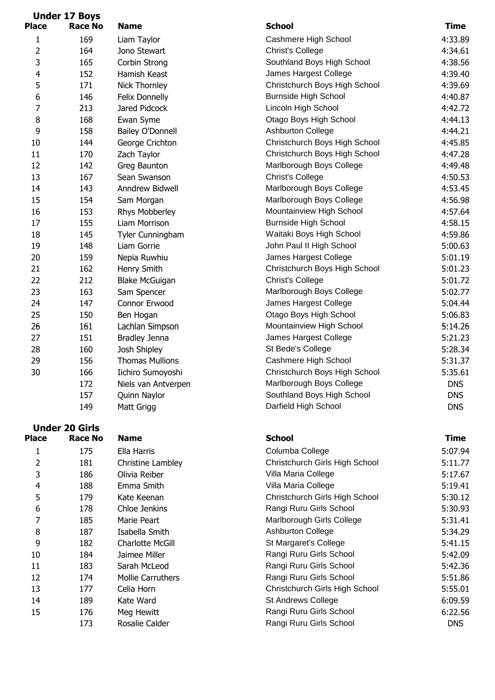|              | <b>Under 17 Boys</b>  |                         |                                |             |
|--------------|-----------------------|-------------------------|--------------------------------|-------------|
| <b>Place</b> | <b>Race No</b>        | <b>Name</b>             | <b>School</b>                  | <b>Time</b> |
| 1            | 169                   | Liam Taylor             | Cashmere High School           | 4:33.89     |
| 2            | 164                   | Jono Stewart            | <b>Christ's College</b>        | 4:34.61     |
| 3            | 165                   | Corbin Strong           | Southland Boys High School     | 4:38.56     |
| 4            | 152                   | Hamish Keast            | James Hargest College          | 4:39.40     |
| 5            | 171                   | Nick Thornley           | Christchurch Boys High School  | 4:39.69     |
| 6            | 146                   | Felix Donnelly          | <b>Burnside High School</b>    | 4:40.87     |
| 7            | 213                   | Jared Pidcock           | Lincoln High School            | 4:42.72     |
| 8            | 168                   | Ewan Syme               | Otago Boys High School         | 4:44.13     |
| 9            | 158                   | <b>Bailey O'Donnell</b> | <b>Ashburton College</b>       | 4:44.21     |
| 10           | 144                   | George Crichton         | Christchurch Boys High School  | 4:45.85     |
| 11           | 170                   | Zach Taylor             | Christchurch Boys High School  | 4:47.28     |
| 12           | 142                   | Greg Baunton            | Marlborough Boys College       | 4:49.48     |
| 13           | 167                   | Sean Swanson            | <b>Christ's College</b>        | 4:50.53     |
| 14           | 143                   | Anndrew Bidwell         | Marlborough Boys College       | 4:53.45     |
| 15           | 154                   | Sam Morgan              | Marlborough Boys College       | 4:56.98     |
| 16           | 153                   | Rhys Mobberley          | Mountainview High School       | 4:57.64     |
| 17           | 155                   | Liam Morrison           | <b>Burnside High School</b>    | 4:58.15     |
| 18           | 145                   | Tyler Cunningham        | Waitaki Boys High School       | 4:59.86     |
| 19           | 148                   | Liam Gorrie             | John Paul II High School       | 5:00.63     |
| 20           | 159                   | Nepia Ruwhiu            | James Hargest College          | 5:01.19     |
| 21           | 162                   | Henry Smith             | Christchurch Boys High School  | 5:01.23     |
| 22           | 212                   | <b>Blake McGuigan</b>   | <b>Christ's College</b>        | 5:01.72     |
| 23           | 163                   | Sam Spencer             | Marlborough Boys College       | 5:02.77     |
| 24           | 147                   | Connor Erwood           | James Hargest College          | 5:04.44     |
| 25           | 150                   | Ben Hogan               | Otago Boys High School         | 5:06.83     |
| 26           | 161                   | Lachlan Simpson         | Mountainview High School       | 5:14.26     |
| 27           | 151                   | <b>Bradley Jenna</b>    | James Hargest College          | 5:21.23     |
| 28           | 160                   | Josh Shipley            | St Bede's College              | 5:28.34     |
| 29           | 156                   | <b>Thomas Mullions</b>  | Cashmere High School           | 5:31.37     |
| 30           | 166                   | Iichiro Sumoyoshi       | Christchurch Boys High School  | 5:35.61     |
|              | 172                   | Niels van Antverpen     | Marlborough Boys College       | <b>DNS</b>  |
|              | 157                   | Quinn Naylor            | Southland Boys High School     | <b>DNS</b>  |
|              | 149                   | Matt Grigg              | Darfield High School           | <b>DNS</b>  |
|              | <b>Under 20 Girls</b> |                         |                                |             |
| <b>Place</b> | <b>Race No</b>        | <b>Name</b>             | <b>School</b>                  | <b>Time</b> |
| 1            | 175                   | Ella Harris             | Columba College                | 5:07.94     |
| 2            | 181                   | Christine Lambley       | Christchurch Girls High School | 5:11.77     |
| 3            | 186                   | Olivia Reiber           | Villa Maria College            | 5:17.67     |
| 4            | 188                   | Emma Smith              | Villa Maria College            | 5:19.41     |
| 5            | 179                   | Kate Keenan             | Christchurch Girls High School | 5:30.12     |
| 6            | 178                   | Chloe Jenkins           | Rangi Ruru Girls School        | 5:30.93     |
| 7            | 185                   | Marie Peart             | Marlborough Girls College      | 5:31.41     |
| 8            | 187                   | Isabella Smith          | <b>Ashburton College</b>       | 5:34.29     |
| 9            | 182                   | Charlotte McGill        | St Margaret's College          | 5:41.15     |
| 10           | 184                   | Jaimee Miller           | Rangi Ruru Girls School        | 5:42.09     |
| 11           | 183                   | Sarah McLeod            | Rangi Ruru Girls School        | 5:42.36     |

Rosalie Calder **Rangi Ruru Girls School** DNS

14 189 Kate Ward St Andrews College 6:09.59 15 176 Meg Hewitt **Nangi Ruru Girls School** 6:22.56

12 174 Mollie Carruthers Rangi Ruru Girls School 5:51.86 13 177 Celia Horn Christchurch Girls High School 5:55.01